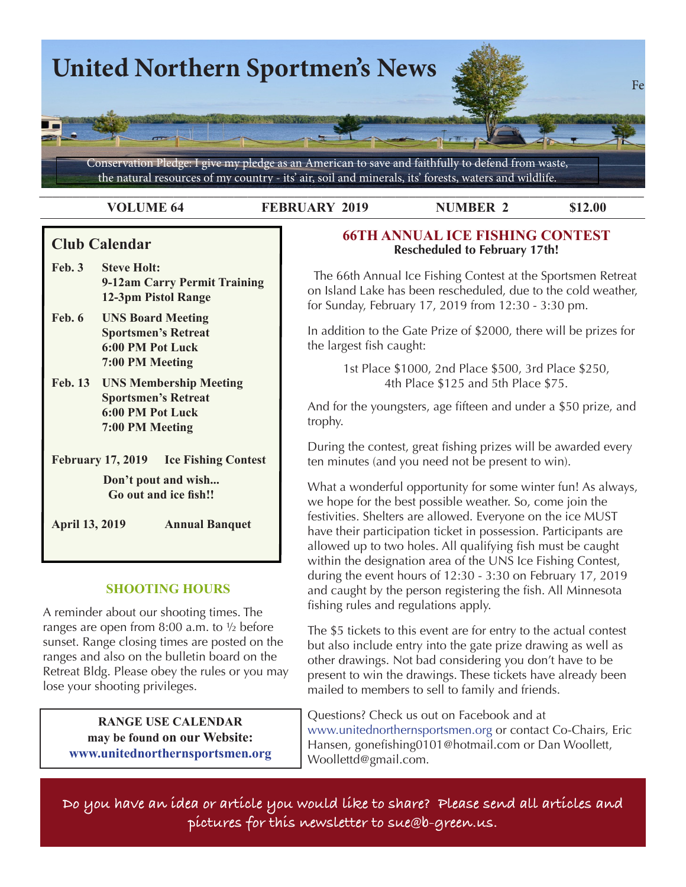

**VOLUME 64 FEBRUARY 2019 NUMBER 2 \$12.00**

# **Club Calendar**

- **Feb. 3 Steve Holt: 9-12am Carry Permit Training 12-3pm Pistol Range**
- **Feb. 6 UNS Board Meeting Sportsmen's Retreat 6:00 PM Pot Luck 7:00 PM Meeting**
- **Feb. 13 UNS Membership Meeting Sportsmen's Retreat 6:00 PM Pot Luck 7:00 PM Meeting**

**February 17, 2019 Ice Fishing Contest**

**Don't pout and wish... Go out and ice fish!!**

**April 13, 2019 Annual Banquet**

## **SHOOTING HOURS**

A reminder about our shooting times. The ranges are open from  $8:00$  a.m. to  $\frac{1}{2}$  before sunset. Range closing times are posted on the ranges and also on the bulletin board on the Retreat Bldg. Please obey the rules or you may lose your shooting privileges.

> **RANGE USE CALENDAR may be found on our Website: www.unitednorthernsportsmen.org**

# **66TH ANNUAL ICE FISHING CONTEST Rescheduled to February 17th!**

 The 66th Annual Ice Fishing Contest at the Sportsmen Retreat on Island Lake has been rescheduled, due to the cold weather, for Sunday, February 17, 2019 from 12:30 - 3:30 pm.

In addition to the Gate Prize of \$2000, there will be prizes for the largest fish caught:

> 1st Place \$1000, 2nd Place \$500, 3rd Place \$250, 4th Place \$125 and 5th Place \$75.

And for the youngsters, age fifteen and under a \$50 prize, and trophy.

During the contest, great fishing prizes will be awarded every ten minutes (and you need not be present to win).

What a wonderful opportunity for some winter fun! As always, we hope for the best possible weather. So, come join the festivities. Shelters are allowed. Everyone on the ice MUST have their participation ticket in possession. Participants are allowed up to two holes. All qualifying fish must be caught within the designation area of the UNS Ice Fishing Contest, during the event hours of 12:30 - 3:30 on February 17, 2019 and caught by the person registering the fish. All Minnesota fishing rules and regulations apply.

The \$5 tickets to this event are for entry to the actual contest but also include entry into the gate prize drawing as well as other drawings. Not bad considering you don't have to be present to win the drawings. These tickets have already been mailed to members to sell to family and friends.

Questions? Check us out on Facebook and at www.unitednorthernsportsmen.org or contact Co-Chairs, Eric Hansen, gonefishing0101@hotmail.com or Dan Woollett, Woollettd@gmail.com.

**Do you have an idea or article you would like to share? Please send all articles and pictures for this newsletter to sue@b-green.us.**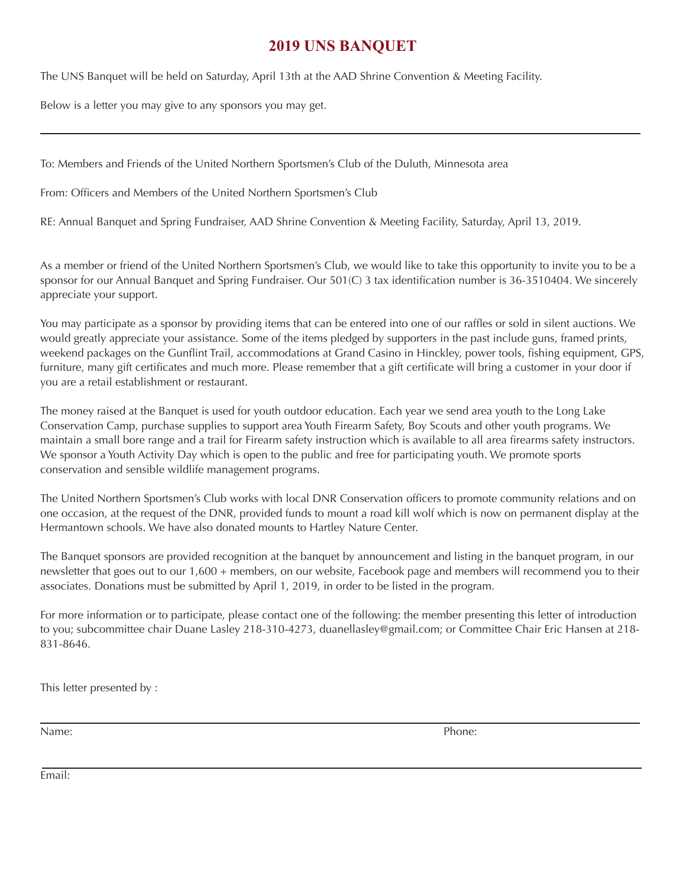# **2019 UNS BANQUET**

The UNS Banquet will be held on Saturday, April 13th at the AAD Shrine Convention & Meeting Facility.

Below is a letter you may give to any sponsors you may get.

To: Members and Friends of the United Northern Sportsmen's Club of the Duluth, Minnesota area

From: Officers and Members of the United Northern Sportsmen's Club

RE: Annual Banquet and Spring Fundraiser, AAD Shrine Convention & Meeting Facility, Saturday, April 13, 2019.

As a member or friend of the United Northern Sportsmen's Club, we would like to take this opportunity to invite you to be a sponsor for our Annual Banquet and Spring Fundraiser. Our 501(C) 3 tax identification number is 36-3510404. We sincerely appreciate your support.

You may participate as a sponsor by providing items that can be entered into one of our raffles or sold in silent auctions. We would greatly appreciate your assistance. Some of the items pledged by supporters in the past include guns, framed prints, weekend packages on the Gunflint Trail, accommodations at Grand Casino in Hinckley, power tools, fishing eq furniture, many gift certificates and much more. Please remember that a gift certificate will bring a customer in you are a retail establishment or restaurant.

The money raised at the Banquet is used for youth outdoor education. Each year we send area youth to the Long Conservation Camp, purchase supplies to support area Youth Firearm Safety, Boy Scouts and other youth program maintain a small bore range and a trail for Firearm safety instruction which is available to all area firearms safet We sponsor a Youth Activity Day which is open to the public and free for participating youth. We promote sport conservation and sensible wildlife management programs.

The United Northern Sportsmen's Club works with local DNR Conservation officers to promote community relations and only and only and  $\alpha$ one occasion, at the request of the DNR, provided funds to mount a road kill wolf which is now on permanent Hermantown schools. We have also donated mounts to Hartley Nature Center.

The Banquet sponsors are provided recognition at the banquet by announcement and listing in the banquet program newsletter that goes out to our 1,600 + members, on our website, Facebook page and members will recommen associates. Donations must be submitted by April 1, 2019, in order to be listed in the program.

For more information or to participate, please contact one of the following: the member presenting this letter of to you; subcommittee chair Duane Lasley 218-310-4273, duanellasley@gmail.com; or Committee Chair Eric H 831-8646.

This letter presented by :



 $640 \times 300$  - Images may be subje

Name: Phone:

Email: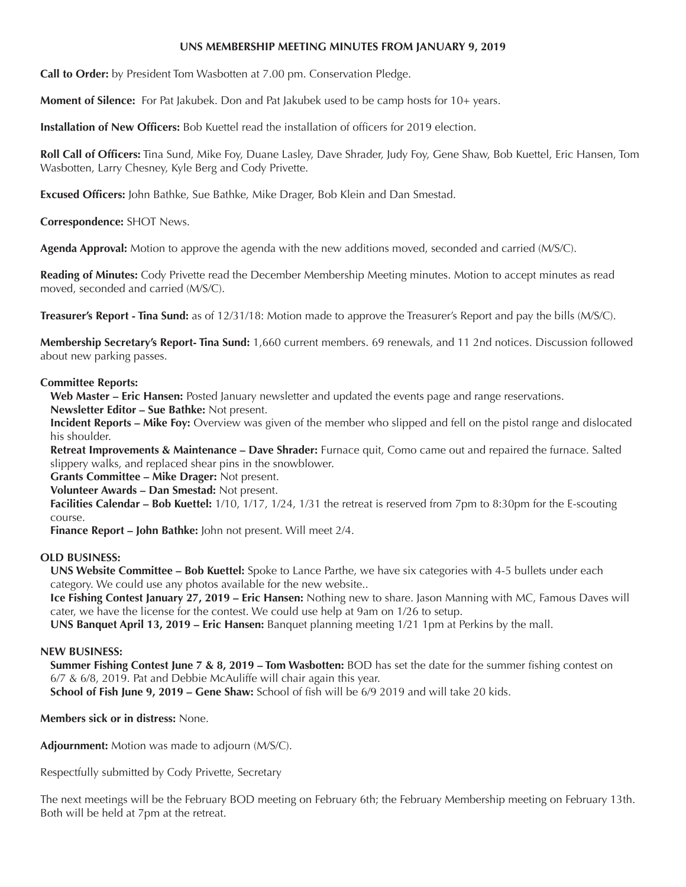#### **UNS MEMBERSHIP MEETING MINUTES FROM JANUARY 9, 2019**

**Call to Order:** by President Tom Wasbotten at 7.00 pm. Conservation Pledge.

**Moment of Silence:** For Pat Jakubek. Don and Pat Jakubek used to be camp hosts for 10+ years.

**Installation of New Officers:** Bob Kuettel read the installation of officers for 2019 election.

**Roll Call of Officers:** Tina Sund, Mike Foy, Duane Lasley, Dave Shrader, Judy Foy, Gene Shaw, Bob Kuettel, Eric Hansen, Tom Wasbotten, Larry Chesney, Kyle Berg and Cody Privette.

**Excused Officers:** John Bathke, Sue Bathke, Mike Drager, Bob Klein and Dan Smestad.

**Correspondence:** SHOT News.

**Agenda Approval:** Motion to approve the agenda with the new additions moved, seconded and carried (M/S/C).

**Reading of Minutes:** Cody Privette read the December Membership Meeting minutes. Motion to accept minutes as read moved, seconded and carried (M/S/C).

**Treasurer's Report - Tina Sund:** as of 12/31/18: Motion made to approve the Treasurer's Report and pay the bills (M/S/C).

**Membership Secretary's Report- Tina Sund:** 1,660 current members. 69 renewals, and 11 2nd notices. Discussion followed about new parking passes.

#### **Committee Reports:**

**Web Master – Eric Hansen:** Posted January newsletter and updated the events page and range reservations.

**Newsletter Editor – Sue Bathke:** Not present.

**Incident Reports – Mike Foy:** Overview was given of the member who slipped and fell on the pistol range and dislocated his shoulder.

**Retreat Improvements & Maintenance – Dave Shrader:** Furnace quit, Como came out and repaired the furnace. Salted slippery walks, and replaced shear pins in the snowblower.

**Grants Committee – Mike Drager:** Not present.

**Volunteer Awards – Dan Smestad:** Not present.

**Facilities Calendar – Bob Kuettel:** 1/10, 1/17, 1/24, 1/31 the retreat is reserved from 7pm to 8:30pm for the E-scouting course.

**Finance Report – John Bathke:** John not present. Will meet 2/4.

#### **OLD BUSINESS:**

**UNS Website Committee – Bob Kuettel:** Spoke to Lance Parthe, we have six categories with 4-5 bullets under each category. We could use any photos available for the new website..

**Ice Fishing Contest January 27, 2019 – Eric Hansen:** Nothing new to share. Jason Manning with MC, Famous Daves will cater, we have the license for the contest. We could use help at 9am on 1/26 to setup.

**UNS Banquet April 13, 2019 – Eric Hansen:** Banquet planning meeting 1/21 1pm at Perkins by the mall.

#### **NEW BUSINESS:**

**Summer Fishing Contest June 7 & 8, 2019 – Tom Wasbotten:** BOD has set the date for the summer fishing contest on 6/7 & 6/8, 2019. Pat and Debbie McAuliffe will chair again this year.

**School of Fish June 9, 2019 – Gene Shaw:** School of fish will be 6/9 2019 and will take 20 kids.

**Members sick or in distress:** None.

**Adjournment:** Motion was made to adjourn (M/S/C).

Respectfully submitted by Cody Privette, Secretary

The next meetings will be the February BOD meeting on February 6th; the February Membership meeting on February 13th. Both will be held at 7pm at the retreat.